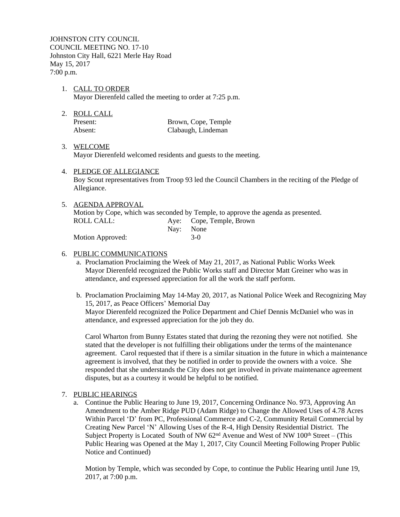JOHNSTON CITY COUNCIL COUNCIL MEETING NO. 17-10 Johnston City Hall, 6221 Merle Hay Road May 15, 2017 7:00 p.m.

- 1. CALL TO ORDER Mayor Dierenfeld called the meeting to order at 7:25 p.m.
- 2. ROLL CALL

Present: Brown, Cope, Temple Absent: Clabaugh, Lindeman

### 3. WELCOME

Mayor Dierenfeld welcomed residents and guests to the meeting.

4. PLEDGE OF ALLEGIANCE

Boy Scout representatives from Troop 93 led the Council Chambers in the reciting of the Pledge of Allegiance.

5. AGENDA APPROVAL Motion by Cope, which was seconded by Temple, to approve the agenda as presented. ROLL CALL: Aye: Cope, Temple, Brown Nay: None Motion Approved: 3-0

# 6. PUBLIC COMMUNICATIONS

- a. Proclamation Proclaiming the Week of May 21, 2017, as National Public Works Week Mayor Dierenfeld recognized the Public Works staff and Director Matt Greiner who was in attendance, and expressed appreciation for all the work the staff perform.
- b. Proclamation Proclaiming May 14-May 20, 2017, as National Police Week and Recognizing May 15, 2017, as Peace Officers' Memorial Day

Mayor Dierenfeld recognized the Police Department and Chief Dennis McDaniel who was in attendance, and expressed appreciation for the job they do.

Carol Wharton from Bunny Estates stated that during the rezoning they were not notified. She stated that the developer is not fulfilling their obligations under the terms of the maintenance agreement. Carol requested that if there is a similar situation in the future in which a maintenance agreement is involved, that they be notified in order to provide the owners with a voice. She responded that she understands the City does not get involved in private maintenance agreement disputes, but as a courtesy it would be helpful to be notified.

### 7. PUBLIC HEARINGS

a. Continue the Public Hearing to June 19, 2017, Concerning Ordinance No. 973, Approving An Amendment to the Amber Ridge PUD (Adam Ridge) to Change the Allowed Uses of 4.78 Acres Within Parcel 'D' from PC, Professional Commerce and C-2, Community Retail Commercial by Creating New Parcel 'N' Allowing Uses of the R-4, High Density Residential District. The Subject Property is Located South of NW  $62<sup>nd</sup>$  Avenue and West of NW  $100<sup>th</sup>$  Street – (This Public Hearing was Opened at the May 1, 2017, City Council Meeting Following Proper Public Notice and Continued)

Motion by Temple, which was seconded by Cope, to continue the Public Hearing until June 19, 2017, at 7:00 p.m.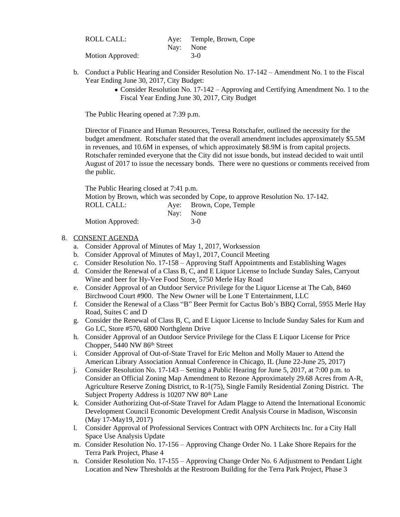| ROLL CALL:       | Aye: Temple, Brown, Cope |
|------------------|--------------------------|
|                  | Nav: None                |
| Motion Approved: | $3-0$                    |

- b. Conduct a Public Hearing and Consider Resolution No. 17-142 Amendment No. 1 to the Fiscal Year Ending June 30, 2017, City Budget:
	- Consider Resolution No. 17-142 Approving and Certifying Amendment No. 1 to the Fiscal Year Ending June 30, 2017, City Budget

The Public Hearing opened at 7:39 p.m.

Director of Finance and Human Resources, Teresa Rotschafer, outlined the necessity for the budget amendment. Rotschafer stated that the overall amendment includes approximately \$5.5M in revenues, and 10.6M in expenses, of which approximately \$8.9M is from capital projects. Rotschafer reminded everyone that the City did not issue bonds, but instead decided to wait until August of 2017 to issue the necessary bonds. There were no questions or comments received from the public.

| The Public Hearing closed at 7:41 p.m. |           |                                                                                |
|----------------------------------------|-----------|--------------------------------------------------------------------------------|
|                                        |           | Motion by Brown, which was seconded by Cope, to approve Resolution No. 17-142. |
| ROLL CALL:                             |           | Aye: Brown, Cope, Temple                                                       |
|                                        | Nav: None |                                                                                |
| Motion Approved:                       |           | $3-0$                                                                          |

#### 8. CONSENT AGENDA

- a. Consider Approval of Minutes of May 1, 2017, Worksession
- b. Consider Approval of Minutes of May1, 2017, Council Meeting
- c. Consider Resolution No. 17-158 Approving Staff Appointments and Establishing Wages
- d. Consider the Renewal of a Class B, C, and E Liquor License to Include Sunday Sales, Carryout Wine and beer for Hy-Vee Food Store, 5750 Merle Hay Road
- e. Consider Approval of an Outdoor Service Privilege for the Liquor License at The Cab, 8460 Birchwood Court #900. The New Owner will be Lone T Entertainment, LLC
- f. Consider the Renewal of a Class "B" Beer Permit for Cactus Bob's BBQ Corral, 5955 Merle Hay Road, Suites C and D
- g. Consider the Renewal of Class B, C, and E Liquor License to Include Sunday Sales for Kum and Go LC, Store #570, 6800 Northglenn Drive
- h. Consider Approval of an Outdoor Service Privilege for the Class E Liquor License for Price Chopper, 5440 NW 86th Street
- i. Consider Approval of Out-of-State Travel for Eric Melton and Molly Mauer to Attend the American Library Association Annual Conference in Chicago, IL (June 22-June 25, 2017)
- j. Consider Resolution No. 17-143 Setting a Public Hearing for June 5, 2017, at 7:00 p.m. to Consider an Official Zoning Map Amendment to Rezone Approximately 29.68 Acres from A-R, Agriculture Reserve Zoning District, to R-1(75), Single Family Residential Zoning District. The Subject Property Address is 10207 NW 80<sup>th</sup> Lane
- k. Consider Authorizing Out-of-State Travel for Adam Plagge to Attend the International Economic Development Council Economic Development Credit Analysis Course in Madison, Wisconsin (May 17-May19, 2017)
- l. Consider Approval of Professional Services Contract with OPN Architects Inc. for a City Hall Space Use Analysis Update
- m. Consider Resolution No. 17-156 Approving Change Order No. 1 Lake Shore Repairs for the Terra Park Project, Phase 4
- n. Consider Resolution No. 17-155 Approving Change Order No. 6 Adjustment to Pendant Light Location and New Thresholds at the Restroom Building for the Terra Park Project, Phase 3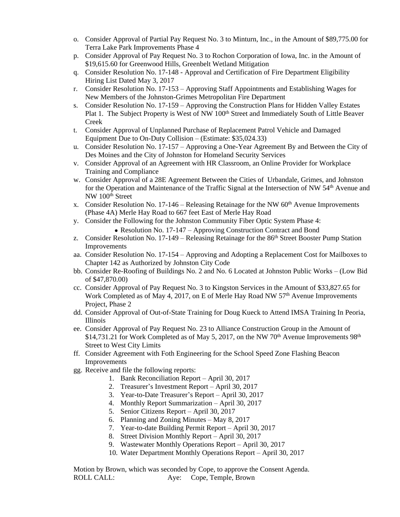- o. Consider Approval of Partial Pay Request No. 3 to Minturn, Inc., in the Amount of \$89,775.00 for Terra Lake Park Improvements Phase 4
- p. Consider Approval of Pay Request No. 3 to Rochon Corporation of Iowa, Inc. in the Amount of \$19,615.60 for Greenwood Hills, Greenbelt Wetland Mitigation
- q. Consider Resolution No. 17-148 Approval and Certification of Fire Department Eligibility Hiring List Dated May 3, 2017
- r. Consider Resolution No. 17-153 Approving Staff Appointments and Establishing Wages for New Members of the Johnston-Grimes Metropolitan Fire Department
- s. Consider Resolution No. 17-159 Approving the Construction Plans for Hidden Valley Estates Plat 1. The Subject Property is West of NW 100<sup>th</sup> Street and Immediately South of Little Beaver Creek
- t. Consider Approval of Unplanned Purchase of Replacement Patrol Vehicle and Damaged Equipment Due to On-Duty Collision – (Estimate: \$35,024.33)
- u. Consider Resolution No. 17-157 Approving a One-Year Agreement By and Between the City of Des Moines and the City of Johnston for Homeland Security Services
- v. Consider Approval of an Agreement with HR Classroom, an Online Provider for Workplace Training and Compliance
- w. Consider Approval of a 28E Agreement Between the Cities of Urbandale, Grimes, and Johnston for the Operation and Maintenance of the Traffic Signal at the Intersection of NW 54th Avenue and NW 100<sup>th</sup> Street
- x. Consider Resolution No. 17-146 Releasing Retainage for the NW  $60<sup>th</sup>$  Avenue Improvements (Phase 4A) Merle Hay Road to 667 feet East of Merle Hay Road
- y. Consider the Following for the Johnston Community Fiber Optic System Phase 4:

Resolution No. 17-147 – Approving Construction Contract and Bond

- z. Consider Resolution No. 17-149 Releasing Retainage for the 86<sup>th</sup> Street Booster Pump Station Improvements
- aa. Consider Resolution No. 17-154 Approving and Adopting a Replacement Cost for Mailboxes to Chapter 142 as Authorized by Johnston City Code
- bb. Consider Re-Roofing of Buildings No. 2 and No. 6 Located at Johnston Public Works (Low Bid of \$47,870.00)
- cc. Consider Approval of Pay Request No. 3 to Kingston Services in the Amount of \$33,827.65 for Work Completed as of May 4, 2017, on E of Merle Hay Road NW  $57<sup>th</sup>$  Avenue Improvements Project, Phase 2
- dd. Consider Approval of Out-of-State Training for Doug Kueck to Attend IMSA Training In Peoria, Illinois
- ee. Consider Approval of Pay Request No. 23 to Alliance Construction Group in the Amount of  $$14,731.21$  for Work Completed as of May 5, 2017, on the NW 70<sup>th</sup> Avenue Improvements 98<sup>th</sup> Street to West City Limits
- ff. Consider Agreement with Foth Engineering for the School Speed Zone Flashing Beacon Improvements
- gg. Receive and file the following reports:
	- 1. Bank Reconciliation Report April 30, 2017
	- 2. Treasurer's Investment Report April 30, 2017
	- 3. Year-to-Date Treasurer's Report April 30, 2017
	- 4. Monthly Report Summarization April 30, 2017
	- 5. Senior Citizens Report April 30, 2017
	- 6. Planning and Zoning Minutes May 8, 2017
	- 7. Year-to-date Building Permit Report April 30, 2017
	- 8. Street Division Monthly Report April 30, 2017
	- 9. Wastewater Monthly Operations Report April 30, 2017
	- 10. Water Department Monthly Operations Report April 30, 2017

Motion by Brown, which was seconded by Cope, to approve the Consent Agenda. ROLL CALL: Aye: Cope, Temple, Brown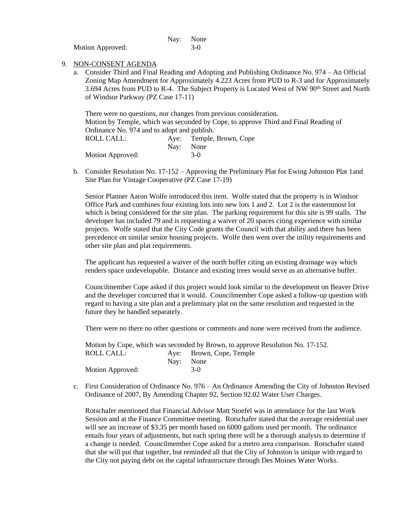|                  | Nay: None |
|------------------|-----------|
| Motion Approved: | $3-0$     |

- 9. NON-CONSENT AGENDA
	- a. Consider Third and Final Reading and Adopting and Publishing Ordinance No. 974 An Official Zoning Map Amendment for Approximately 4.223 Acres from PUD to R-3 and for Approximately 3.694 Acres from PUD to R-4. The Subject Property is Located West of NW 90<sup>th</sup> Street and North of Windsor Parkway (PZ Case 17-11)

There were no questions, nor changes from previous consideration. Motion by Temple, which was seconded by Cope, to approve Third and Final Reading of Ordinance No. 974 and to adopt and publish. ROLL CALL: Aye: Temple, Brown, Cope Nay: None Motion Approved: 3-0

b. Consider Resolution No. 17-152 – Approving the Preliminary Plat for Ewing Johnston Plat 1and Site Plan for Vintage Cooperative (PZ Case 17-19)

Senior Planner Aaron Wolfe introduced this item. Wolfe stated that the property is in Windsor Office Park and combines four existing lots into new lots 1 and 2. Lot 2 is the easternmost lot which is being considered for the site plan. The parking requirement for this site is 99 stalls. The developer has included 79 and is requesting a waiver of 20 spaces citing experience with similar projects. Wolfe stated that the City Code grants the Council with that ability and there has been precedence on similar senior housing projects. Wolfe then went over the utility requirements and other site plan and plat requirements.

The applicant has requested a waiver of the north buffer citing an existing drainage way which renders space undevelopable. Distance and existing trees would serve as an alternative buffer.

Councilmember Cope asked if this project would look similar to the development on Beaver Drive and the developer concurred that it would. Councilmember Cope asked a follow-up question with regard to having a site plan and a preliminary plat on the same resolution and requested in the future they be handled separately.

There were no there no other questions or comments and none were received from the audience.

Motion by Cope, which was seconded by Brown, to approve Resolution No. 17-152. ROLL CALL: Aye: Brown, Cope, Temple Nay: None Motion Approved: 3-0

c. First Consideration of Ordinance No. 976 – An Ordinance Amending the City of Johnston Revised Ordinance of 2007, By Amending Chapter 92, Section 92.02 Water User Charges.

Rotschafer mentioned that Financial Advisor Matt Stoefel was in attendance for the last Work Session and at the Finance Committee meeting. Rotschafer stated that the average residential user will see an increase of \$3.35 per month based on 6000 gallons used per month. The ordinance entails four years of adjustments, but each spring there will be a thorough analysis to determine if a change is needed. Councilmember Cope asked for a metro area comparison. Rotschafer stated that she will put that together, but reminded all that the City of Johnston is unique with regard to the City not paying debt on the capital infrastructure through Des Moines Water Works.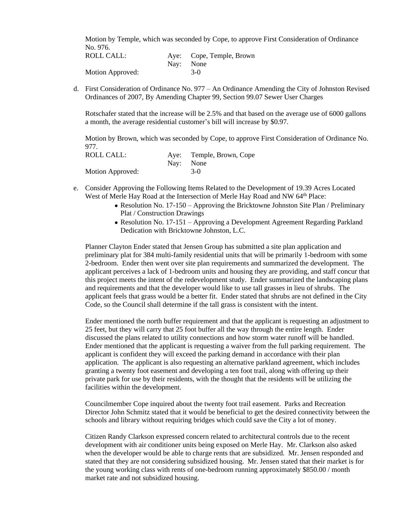Motion by Temple, which was seconded by Cope, to approve First Consideration of Ordinance No. 976.

| ROLL CALL:       |           | Aye: Cope, Temple, Brown |
|------------------|-----------|--------------------------|
|                  | Nav: None |                          |
| Motion Approved: |           | $3-0$                    |

d. First Consideration of Ordinance No. 977 – An Ordinance Amending the City of Johnston Revised Ordinances of 2007, By Amending Chapter 99, Section 99.07 Sewer User Charges

Rotschafer stated that the increase will be 2.5% and that based on the average use of 6000 gallons a month, the average residential customer's bill will increase by \$0.97.

Motion by Brown, which was seconded by Cope, to approve First Consideration of Ordinance No. 977.

| ROLL CALL:       | Aye: Temple, Brown, Cope |
|------------------|--------------------------|
|                  | Nav: None                |
| Motion Approved: | $3-0$                    |

- e. Consider Approving the Following Items Related to the Development of 19.39 Acres Located West of Merle Hay Road at the Intersection of Merle Hay Road and NW 64<sup>th</sup> Place:
	- Resolution No. 17-150 Approving the Bricktowne Johnston Site Plan / Preliminary Plat / Construction Drawings
	- Resolution No. 17-151 Approving a Development Agreement Regarding Parkland Dedication with Bricktowne Johnston, L.C.

Planner Clayton Ender stated that Jensen Group has submitted a site plan application and preliminary plat for 384 multi-family residential units that will be primarily 1-bedroom with some 2-bedroom. Ender then went over site plan requirements and summarized the development. The applicant perceives a lack of 1-bedroom units and housing they are providing, and staff concur that this project meets the intent of the redevelopment study. Ender summarized the landscaping plans and requirements and that the developer would like to use tall grasses in lieu of shrubs. The applicant feels that grass would be a better fit. Ender stated that shrubs are not defined in the City Code, so the Council shall determine if the tall grass is consistent with the intent.

Ender mentioned the north buffer requirement and that the applicant is requesting an adjustment to 25 feet, but they will carry that 25 foot buffer all the way through the entire length. Ender discussed the plans related to utility connections and how storm water runoff will be handled. Ender mentioned that the applicant is requesting a waiver from the full parking requirement. The applicant is confident they will exceed the parking demand in accordance with their plan application. The applicant is also requesting an alternative parkland agreement, which includes granting a twenty foot easement and developing a ten foot trail, along with offering up their private park for use by their residents, with the thought that the residents will be utilizing the facilities within the development.

Councilmember Cope inquired about the twenty foot trail easement. Parks and Recreation Director John Schmitz stated that it would be beneficial to get the desired connectivity between the schools and library without requiring bridges which could save the City a lot of money.

Citizen Randy Clarkson expressed concern related to architectural controls due to the recent development with air conditioner units being exposed on Merle Hay. Mr. Clarkson also asked when the developer would be able to charge rents that are subsidized. Mr. Jensen responded and stated that they are not considering subsidized housing. Mr. Jensen stated that their market is for the young working class with rents of one-bedroom running approximately \$850.00 / month market rate and not subsidized housing.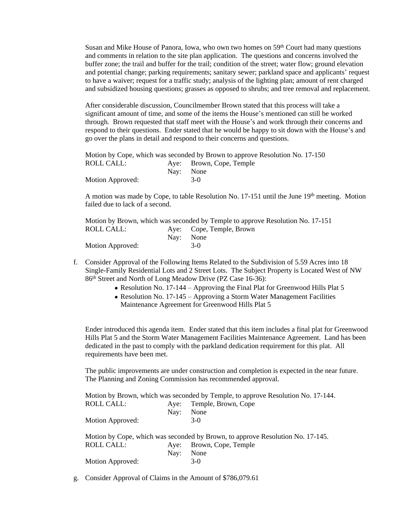Susan and Mike House of Panora, Iowa, who own two homes on  $59<sup>th</sup>$  Court had many questions and comments in relation to the site plan application. The questions and concerns involved the buffer zone; the trail and buffer for the trail; condition of the street; water flow; ground elevation and potential change; parking requirements; sanitary sewer; parkland space and applicants' request to have a waiver; request for a traffic study; analysis of the lighting plan; amount of rent charged and subsidized housing questions; grasses as opposed to shrubs; and tree removal and replacement.

After considerable discussion, Councilmember Brown stated that this process will take a significant amount of time, and some of the items the House's mentioned can still be worked through. Brown requested that staff meet with the House's and work through their concerns and respond to their questions. Ender stated that he would be happy to sit down with the House's and go over the plans in detail and respond to their concerns and questions.

|                  |           | Motion by Cope, which was seconded by Brown to approve Resolution No. 17-150 |
|------------------|-----------|------------------------------------------------------------------------------|
| ROLL CALL: .     |           | Aye: Brown, Cope, Temple                                                     |
|                  | Nav: None |                                                                              |
| Motion Approved: |           | $3-0$                                                                        |

A motion was made by Cope, to table Resolution No. 17-151 until the June  $19<sup>th</sup>$  meeting. Motion failed due to lack of a second.

|                  | Motion by Brown, which was seconded by Temple to approve Resolution No. 17-151 |
|------------------|--------------------------------------------------------------------------------|
| ROLL CALL: .     | Aye: Cope, Temple, Brown                                                       |
|                  | Nav: None                                                                      |
| Motion Approved: | $3-0$                                                                          |

- f. Consider Approval of the Following Items Related to the Subdivision of 5.59 Acres into 18 Single-Family Residential Lots and 2 Street Lots. The Subject Property is Located West of NW 86th Street and North of Long Meadow Drive (PZ Case 16-36):
	- Resolution No. 17-144 Approving the Final Plat for Greenwood Hills Plat 5
	- Resolution No. 17-145 Approving a Storm Water Management Facilities
		- Maintenance Agreement for Greenwood Hills Plat 5

Ender introduced this agenda item. Ender stated that this item includes a final plat for Greenwood Hills Plat 5 and the Storm Water Management Facilities Maintenance Agreement. Land has been dedicated in the past to comply with the parkland dedication requirement for this plat. All requirements have been met.

The public improvements are under construction and completion is expected in the near future. The Planning and Zoning Commission has recommended approval.

|                   |      | Motion by Brown, which was seconded by Temple, to approve Resolution No. 17-144. |
|-------------------|------|----------------------------------------------------------------------------------|
| <b>ROLL CALL:</b> | Ave: | Temple, Brown, Cope                                                              |
|                   | Nay: | None                                                                             |
| Motion Approved:  |      | $3-0$                                                                            |
|                   |      | Motion by Cope, which was seconded by Brown, to approve Resolution No. 17-145.   |
| <b>ROLL CALL:</b> |      | Aye: Brown, Cope, Temple                                                         |
|                   |      |                                                                                  |
|                   | Nav: | None                                                                             |

g. Consider Approval of Claims in the Amount of \$786,079.61